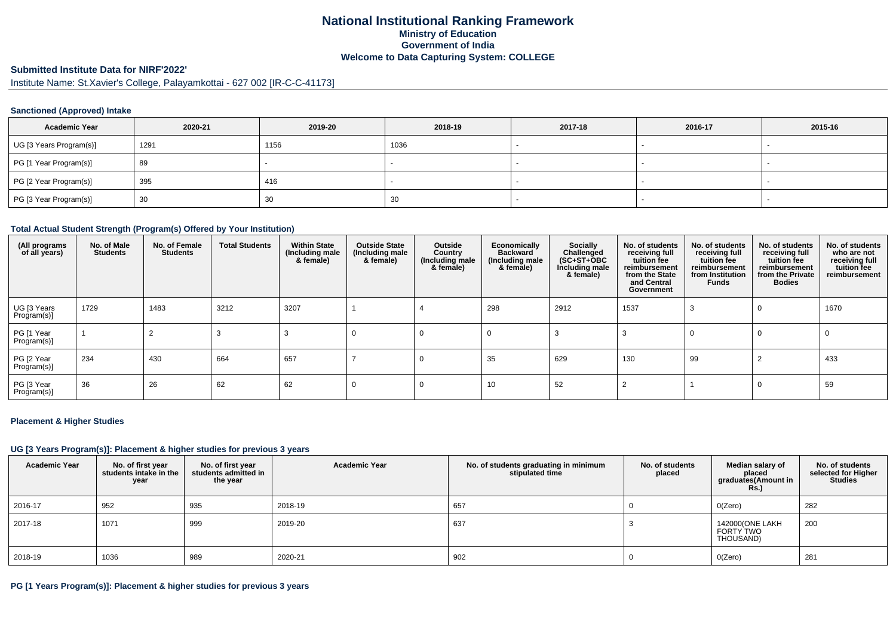### **National Institutional Ranking FrameworkMinistry of Education Government of IndiaWelcome to Data Capturing System: COLLEGE**

## **Submitted Institute Data for NIRF'2022'**

Institute Name: St.Xavier's College, Palayamkottai - 627 002 [IR-C-C-41173]

#### **Sanctioned (Approved) Intake**

| <b>Academic Year</b>    | 2020-21 | 2019-20 | 2018-19 | 2017-18 | 2016-17 | 2015-16 |
|-------------------------|---------|---------|---------|---------|---------|---------|
| UG [3 Years Program(s)] | 1291    | 1156    | 1036    |         |         |         |
| PG [1 Year Program(s)]  | 89      |         |         |         |         |         |
| PG [2 Year Program(s)]  | 395     | 416     |         |         |         |         |
| PG [3 Year Program(s)]  | 30      | 30      | 30      |         |         |         |

#### **Total Actual Student Strength (Program(s) Offered by Your Institution)**

| (All programs<br>of all years) | No. of Male<br><b>Students</b> | No. of Female<br><b>Students</b> | <b>Total Students</b> | <b>Within State</b><br>(Including male<br>& female) | <b>Outside State</b><br>(Including male<br>& female) | Outside<br>Country<br>(Including male)<br>& female) | Economically<br><b>Backward</b><br>(Including male<br>& female) | Socially<br>Challenged<br>$(SC+ST+OBC)$<br>Including male<br>& female) | No. of students<br>receiving full<br>tuition fee<br>reimbursement<br>from the State<br>and Central<br>Government | No. of students<br>receiving full<br>tuition fee<br>reimbursement<br>from Institution<br><b>Funds</b> | No. of students<br>receiving full<br>tuition fee<br>reimbursement<br>from the Private<br><b>Bodies</b> | No. of students<br>who are not<br>receiving full<br>tuition fee<br>reimbursement |
|--------------------------------|--------------------------------|----------------------------------|-----------------------|-----------------------------------------------------|------------------------------------------------------|-----------------------------------------------------|-----------------------------------------------------------------|------------------------------------------------------------------------|------------------------------------------------------------------------------------------------------------------|-------------------------------------------------------------------------------------------------------|--------------------------------------------------------------------------------------------------------|----------------------------------------------------------------------------------|
| UG [3 Years<br>Program(s)]     | 1729                           | 1483                             | 3212                  | 3207                                                |                                                      |                                                     | 298                                                             | 2912                                                                   | 1537                                                                                                             |                                                                                                       | 0                                                                                                      | 1670                                                                             |
| PG [1 Year<br>Program(s)]      |                                |                                  | -3                    |                                                     | -0                                                   |                                                     |                                                                 |                                                                        |                                                                                                                  |                                                                                                       | $\Omega$                                                                                               | 0                                                                                |
| PG [2 Year<br>Program(s)]      | 234                            | 430                              | 664                   | 657                                                 |                                                      |                                                     | 35                                                              | 629                                                                    | 130                                                                                                              | 99                                                                                                    |                                                                                                        | 433                                                                              |
| PG [3 Year<br>Program(s)]      | 36                             | 26                               | 62                    | 62                                                  |                                                      |                                                     | 10                                                              | 52                                                                     |                                                                                                                  |                                                                                                       | $\Omega$                                                                                               | 59                                                                               |

#### **Placement & Higher Studies**

#### **UG [3 Years Program(s)]: Placement & higher studies for previous 3 years**

| <b>Academic Year</b> | No. of first year<br>students intake in the<br>year | No. of first vear<br>students admitted in<br>the year | <b>Academic Year</b> | No. of students graduating in minimum<br>stipulated time | No. of students<br>placed | Median salary of<br>placed<br>graduates(Amount in<br><b>Rs.)</b> | No. of students<br>selected for Higher<br><b>Studies</b> |
|----------------------|-----------------------------------------------------|-------------------------------------------------------|----------------------|----------------------------------------------------------|---------------------------|------------------------------------------------------------------|----------------------------------------------------------|
| 2016-17              | 952                                                 | 935                                                   | 2018-19              | 657                                                      |                           | O(Zero)                                                          | 282                                                      |
| 2017-18              | 1071                                                | 999                                                   | 2019-20              | 637                                                      |                           | 142000(ONE LAKH<br>FORTY TWO<br>THOUSAND)                        | 200                                                      |
| 2018-19              | 1036                                                | 989                                                   | 2020-21              | 902                                                      |                           | O(Zero)                                                          | 281                                                      |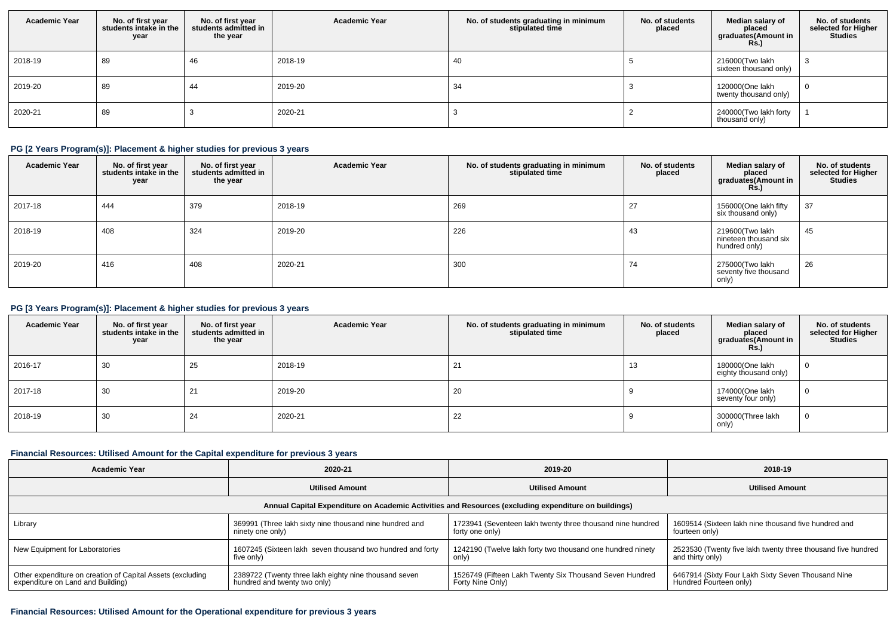| <b>Academic Year</b> | No. of first year<br>students intake in the<br>year | No. of first year<br>students admitted in<br>the year | <b>Academic Year</b> | No. of students graduating in minimum<br>stipulated time | No. of students<br>placed | Median salary of<br>placed<br>graduates(Amount in<br><b>Rs.)</b> | No. of students<br>selected for Higher<br><b>Studies</b> |
|----------------------|-----------------------------------------------------|-------------------------------------------------------|----------------------|----------------------------------------------------------|---------------------------|------------------------------------------------------------------|----------------------------------------------------------|
| 2018-19              | 89                                                  | 46                                                    | 2018-19              | 40                                                       |                           | 216000(Two lakh<br>sixteen thousand only)                        |                                                          |
| 2019-20              | 89                                                  | 44                                                    | 2019-20              | 34                                                       |                           | 120000(One lakh<br>twenty thousand only)                         |                                                          |
| 2020-21              | 89                                                  |                                                       | 2020-21              |                                                          |                           | 240000(Two lakh forty<br>thousand only)                          |                                                          |

### **PG [2 Years Program(s)]: Placement & higher studies for previous 3 years**

| <b>Academic Year</b> | No. of first year<br>students intake in the<br>year | No. of first year<br>students admitted in<br>the year | <b>Academic Year</b> | No. of students graduating in minimum<br>stipulated time | No. of students<br>placed | Median salary of<br>placed<br>graduates(Amount in<br><b>Rs.)</b> | No. of students<br>selected for Higher<br><b>Studies</b> |
|----------------------|-----------------------------------------------------|-------------------------------------------------------|----------------------|----------------------------------------------------------|---------------------------|------------------------------------------------------------------|----------------------------------------------------------|
| 2017-18              | 444                                                 | 379                                                   | 2018-19              | 269                                                      |                           | 156000(One lakh fifty<br>six thousand only)                      | 37                                                       |
| 2018-19              | 408                                                 | 324                                                   | 2019-20              | 226                                                      | 43                        | 219600(Two lakh<br>nineteen thousand six<br>hundred only)        | 45                                                       |
| 2019-20              | 416                                                 | 408                                                   | 2020-21              | 300                                                      | 74                        | 275000(Two lakh<br>seventy five thousand<br>only)                | 26                                                       |

# **PG [3 Years Program(s)]: Placement & higher studies for previous 3 years**

| <b>Academic Year</b> | No. of first year<br>students intake in the<br>year | No. of first year<br>students admitted in<br>the year | <b>Academic Year</b> | No. of students graduating in minimum<br>stipulated time | No. of students<br>placed | Median salary of<br>placed<br>graduates(Amount in<br><b>Rs.</b> ) | No. of students<br>selected for Higher<br><b>Studies</b> |
|----------------------|-----------------------------------------------------|-------------------------------------------------------|----------------------|----------------------------------------------------------|---------------------------|-------------------------------------------------------------------|----------------------------------------------------------|
| 2016-17              | 30                                                  | 25                                                    | 2018-19              | 21                                                       | 13                        | 180000(One lakh<br>eighty thousand only)                          | U                                                        |
| 2017-18              | 30                                                  | 21                                                    | 2019-20              | 20                                                       |                           | 174000(One lakh<br>seventy four only)                             | U                                                        |
| 2018-19              | 30                                                  | 24                                                    | 2020-21              | 22                                                       |                           | 300000(Three lakh<br>only)                                        | U                                                        |

### **Financial Resources: Utilised Amount for the Capital expenditure for previous 3 years**

| <b>Academic Year</b>                                                                                 | 2020-21                                                    | 2019-20                                                    | 2018-19                                                      |  |  |  |  |  |  |  |  |
|------------------------------------------------------------------------------------------------------|------------------------------------------------------------|------------------------------------------------------------|--------------------------------------------------------------|--|--|--|--|--|--|--|--|
|                                                                                                      | <b>Utilised Amount</b>                                     | <b>Utilised Amount</b>                                     | <b>Utilised Amount</b>                                       |  |  |  |  |  |  |  |  |
| Annual Capital Expenditure on Academic Activities and Resources (excluding expenditure on buildings) |                                                            |                                                            |                                                              |  |  |  |  |  |  |  |  |
| Library                                                                                              | 369991 (Three lakh sixty nine thousand nine hundred and    | 1723941 (Seventeen lakh twenty three thousand nine hundred | 1609514 (Sixteen lakh nine thousand five hundred and         |  |  |  |  |  |  |  |  |
|                                                                                                      | ninety one only)                                           | forty one only)                                            | fourteen only)                                               |  |  |  |  |  |  |  |  |
| New Equipment for Laboratories                                                                       | 1607245 (Sixteen lakh seven thousand two hundred and forty | 1242190 (Twelve lakh forty two thousand one hundred ninety | 2523530 (Twenty five lakh twenty three thousand five hundred |  |  |  |  |  |  |  |  |
|                                                                                                      | five only)                                                 | only)                                                      | and thirty only)                                             |  |  |  |  |  |  |  |  |
| Other expenditure on creation of Capital Assets (excluding                                           | 2389722 (Twenty three lakh eighty nine thousand seven      | 1526749 (Fifteen Lakh Twenty Six Thousand Seven Hundred    | 6467914 (Sixty Four Lakh Sixty Seven Thousand Nine           |  |  |  |  |  |  |  |  |
| expenditure on Land and Building)                                                                    | hundred and twenty two only)                               | Forty Nine Only)                                           | Hundred Fourteen only)                                       |  |  |  |  |  |  |  |  |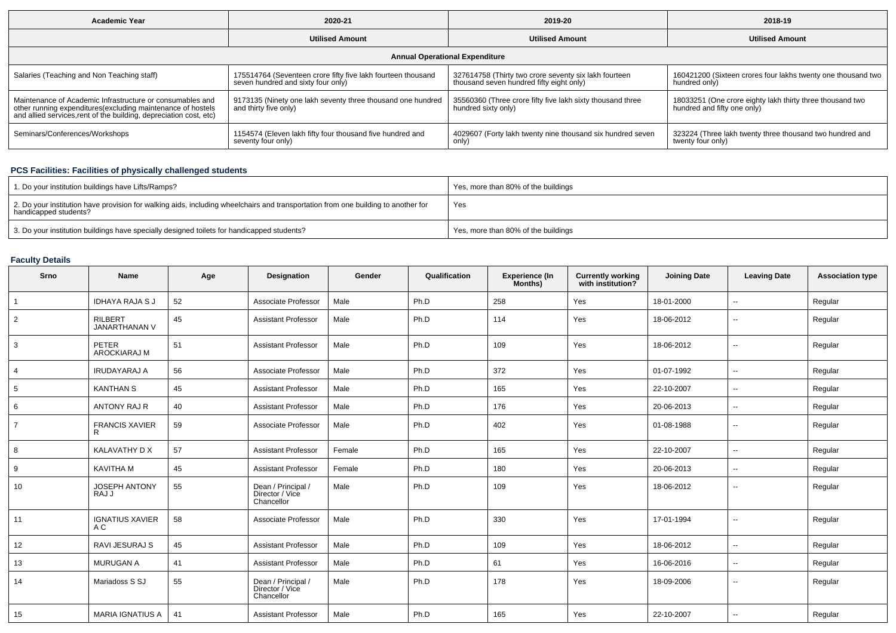| Academic Year                                                                                                                                                                                  | 2020-21                                                                                            | 2019-20                                                                                           | 2018-19                                                                                  |  |  |  |  |  |  |  |
|------------------------------------------------------------------------------------------------------------------------------------------------------------------------------------------------|----------------------------------------------------------------------------------------------------|---------------------------------------------------------------------------------------------------|------------------------------------------------------------------------------------------|--|--|--|--|--|--|--|
|                                                                                                                                                                                                | <b>Utilised Amount</b>                                                                             |                                                                                                   | <b>Utilised Amount</b>                                                                   |  |  |  |  |  |  |  |
| <b>Annual Operational Expenditure</b>                                                                                                                                                          |                                                                                                    |                                                                                                   |                                                                                          |  |  |  |  |  |  |  |
| Salaries (Teaching and Non Teaching staff)                                                                                                                                                     | 175514764 (Seventeen crore fifty five lakh fourteen thousand<br>seven hundred and sixty four only) | 327614758 (Thirty two crore seventy six lakh fourteen<br>thousand seven hundred fifty eight only) | 160421200 (Sixteen crores four lakhs twenty one thousand two<br>hundred only)            |  |  |  |  |  |  |  |
| Maintenance of Academic Infrastructure or consumables and<br>other running expenditures(excluding maintenance of hostels<br>and allied services, rent of the building, depreciation cost, etc) | 9173135 (Ninety one lakh seventy three thousand one hundred<br>and thirty five only)               | 35560360 (Three crore fifty five lakh sixty thousand three<br>hundred sixty only)                 | 18033251 (One crore eighty lakh thirty three thousand two<br>hundred and fifty one only) |  |  |  |  |  |  |  |
| Seminars/Conferences/Workshops                                                                                                                                                                 | 1154574 (Eleven lakh fifty four thousand five hundred and<br>seventy four only)                    | 4029607 (Forty lakh twenty nine thousand six hundred seven<br>only)                               | 323224 (Three lakh twenty three thousand two hundred and<br>twenty four only)            |  |  |  |  |  |  |  |

#### **PCS Facilities: Facilities of physically challenged students**

| 1. Do your institution buildings have Lifts/Ramps?                                                                                                         | Yes, more than 80% of the buildings |
|------------------------------------------------------------------------------------------------------------------------------------------------------------|-------------------------------------|
| 2. Do your institution have provision for walking aids, including wheelchairs and transportation from one building to another for<br>handicapped students? | Yes                                 |
| 3. Do your institution buildings have specially designed toilets for handicapped students?                                                                 | Yes, more than 80% of the buildings |

# **Faculty Details**

| Srno            | <b>Name</b>                            | Age | Designation                                         | Gender | Qualification | Experience (In<br>Months) | <b>Currently working</b><br>with institution? | <b>Joining Date</b> | <b>Leaving Date</b>      | <b>Association type</b> |
|-----------------|----------------------------------------|-----|-----------------------------------------------------|--------|---------------|---------------------------|-----------------------------------------------|---------------------|--------------------------|-------------------------|
| $\overline{1}$  | <b>IDHAYA RAJA S J</b>                 | 52  | Associate Professor                                 | Male   | Ph.D          | 258                       | Yes                                           | 18-01-2000          | $\overline{\phantom{a}}$ | Regular                 |
| 2               | <b>RILBERT</b><br><b>JANARTHANAN V</b> | 45  | <b>Assistant Professor</b>                          | Male   | Ph.D          | 114                       | Yes                                           | 18-06-2012          | $\overline{\phantom{a}}$ | Regular                 |
| 3               | PETER<br><b>AROCKIARAJ M</b>           | 51  | <b>Assistant Professor</b>                          | Male   | Ph.D          | 109                       | Yes                                           | 18-06-2012          | $\sim$                   | Regular                 |
| $\overline{4}$  | <b>IRUDAYARAJ A</b>                    | 56  | Associate Professor                                 | Male   | Ph.D          | 372                       | Yes                                           | 01-07-1992          | $\sim$                   | Regular                 |
| $5\phantom{.0}$ | <b>KANTHAN S</b>                       | 45  | <b>Assistant Professor</b>                          | Male   | Ph.D          | 165                       | Yes                                           | 22-10-2007          | $\sim$                   | Regular                 |
| 6               | <b>ANTONY RAJ R</b>                    | 40  | <b>Assistant Professor</b>                          | Male   | Ph.D          | 176                       | Yes                                           | 20-06-2013          | $\overline{\phantom{a}}$ | Regular                 |
| $\overline{7}$  | <b>FRANCIS XAVIER</b><br>R             | 59  | Associate Professor                                 | Male   | Ph.D          | 402                       | Yes                                           | 01-08-1988          | $\sim$                   | Regular                 |
| 8               | KALAVATHY D X                          | 57  | <b>Assistant Professor</b>                          | Female | Ph.D          | 165                       | Yes                                           | 22-10-2007          | $\overline{\phantom{a}}$ | Regular                 |
| 9               | <b>KAVITHA M</b>                       | 45  | <b>Assistant Professor</b>                          | Female | Ph.D          | 180                       | Yes                                           | 20-06-2013          | $\sim$                   | Regular                 |
| 10              | <b>JOSEPH ANTONY</b><br>RAJ J          | 55  | Dean / Principal /<br>Director / Vice<br>Chancellor | Male   | Ph.D          | 109                       | Yes                                           | 18-06-2012          | $\overline{\phantom{a}}$ | Regular                 |
| 11              | <b>IGNATIUS XAVIER</b><br>A C          | 58  | Associate Professor                                 | Male   | Ph.D          | 330                       | Yes                                           | 17-01-1994          | $\sim$                   | Regular                 |
| 12              | RAVI JESURAJ S                         | 45  | <b>Assistant Professor</b>                          | Male   | Ph.D          | 109                       | Yes                                           | 18-06-2012          | $\overline{\phantom{a}}$ | Regular                 |
| 13              | <b>MURUGAN A</b>                       | 41  | <b>Assistant Professor</b>                          | Male   | Ph.D          | 61                        | Yes                                           | 16-06-2016          | $\overline{\phantom{a}}$ | Regular                 |
| 14              | Mariadoss S SJ                         | 55  | Dean / Principal /<br>Director / Vice<br>Chancellor | Male   | Ph.D          | 178                       | Yes                                           | 18-09-2006          | $\overline{\phantom{a}}$ | Regular                 |
| 15              | MARIA IGNATIUS A                       | 41  | <b>Assistant Professor</b>                          | Male   | Ph.D          | 165                       | Yes                                           | 22-10-2007          | $\sim$                   | Regular                 |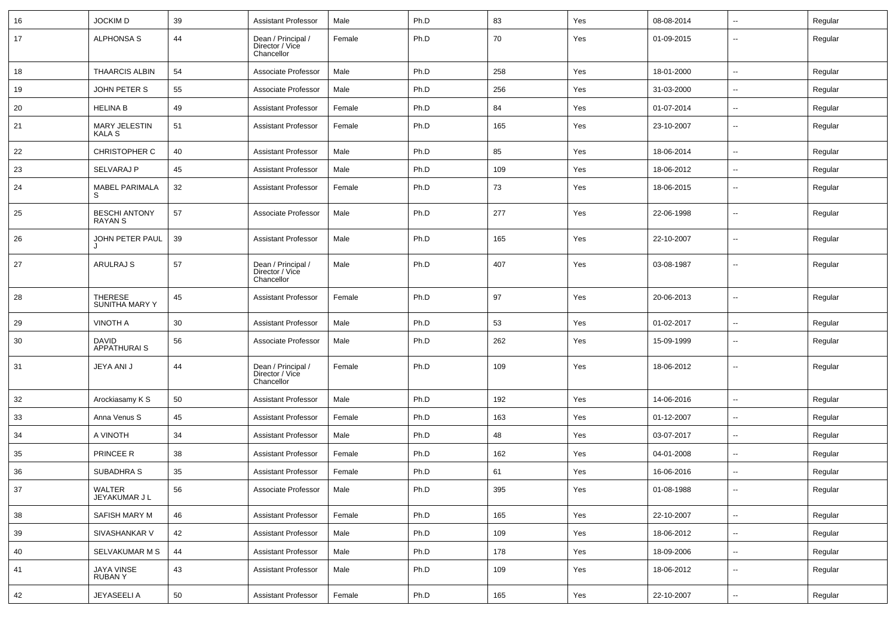| 16 | <b>JOCKIMD</b>                     | 39 | <b>Assistant Professor</b>                          | Male   | Ph.D | 83  | Yes | 08-08-2014 | --                       | Regular |
|----|------------------------------------|----|-----------------------------------------------------|--------|------|-----|-----|------------|--------------------------|---------|
| 17 | ALPHONSA S                         | 44 | Dean / Principal /<br>Director / Vice<br>Chancellor | Female | Ph.D | 70  | Yes | 01-09-2015 | --                       | Regular |
| 18 | <b>THAARCIS ALBIN</b>              | 54 | Associate Professor                                 | Male   | Ph.D | 258 | Yes | 18-01-2000 | -−                       | Regular |
| 19 | JOHN PETER S                       | 55 | Associate Professor                                 | Male   | Ph.D | 256 | Yes | 31-03-2000 | ⊷.                       | Regular |
| 20 | <b>HELINA B</b>                    | 49 | <b>Assistant Professor</b>                          | Female | Ph.D | 84  | Yes | 01-07-2014 | $\overline{\phantom{a}}$ | Regular |
| 21 | MARY JELESTIN<br>KALA S            | 51 | <b>Assistant Professor</b>                          | Female | Ph.D | 165 | Yes | 23-10-2007 | --                       | Regular |
| 22 | <b>CHRISTOPHER C</b>               | 40 | <b>Assistant Professor</b>                          | Male   | Ph.D | 85  | Yes | 18-06-2014 | -−                       | Regular |
| 23 | SELVARAJ P                         | 45 | <b>Assistant Professor</b>                          | Male   | Ph.D | 109 | Yes | 18-06-2012 | ⊷.                       | Regular |
| 24 | <b>MABEL PARIMALA</b>              | 32 | <b>Assistant Professor</b>                          | Female | Ph.D | 73  | Yes | 18-06-2015 | ⊷.                       | Regular |
| 25 | <b>BESCHI ANTONY</b><br>RAYAN S    | 57 | Associate Professor                                 | Male   | Ph.D | 277 | Yes | 22-06-1998 | $\overline{\phantom{a}}$ | Regular |
| 26 | JOHN PETER PAUL                    | 39 | <b>Assistant Professor</b>                          | Male   | Ph.D | 165 | Yes | 22-10-2007 | ⊷.                       | Regular |
| 27 | ARULRAJ S                          | 57 | Dean / Principal /<br>Director / Vice<br>Chancellor | Male   | Ph.D | 407 | Yes | 03-08-1987 | −−                       | Regular |
| 28 | <b>THERESE</b><br>SUNITHA MARY Y   | 45 | <b>Assistant Professor</b>                          | Female | Ph.D | 97  | Yes | 20-06-2013 | $\overline{\phantom{a}}$ | Regular |
| 29 | <b>VINOTH A</b>                    | 30 | <b>Assistant Professor</b>                          | Male   | Ph.D | 53  | Yes | 01-02-2017 | $\sim$                   | Regular |
| 30 | <b>DAVID</b><br><b>APPATHURAIS</b> | 56 | Associate Professor                                 | Male   | Ph.D | 262 | Yes | 15-09-1999 | −−                       | Regular |
| 31 | JEYA ANI J                         | 44 | Dean / Principal /<br>Director / Vice<br>Chancellor | Female | Ph.D | 109 | Yes | 18-06-2012 | $\overline{\phantom{a}}$ | Regular |
| 32 | Arockiasamy K S                    | 50 | <b>Assistant Professor</b>                          | Male   | Ph.D | 192 | Yes | 14-06-2016 | ⊷.                       | Regular |
| 33 | Anna Venus S                       | 45 | <b>Assistant Professor</b>                          | Female | Ph.D | 163 | Yes | 01-12-2007 | −−                       | Regular |
| 34 | A VINOTH                           | 34 | <b>Assistant Professor</b>                          | Male   | Ph.D | 48  | Yes | 03-07-2017 | ⊶.                       | Regular |
| 35 | PRINCEE R                          | 38 | <b>Assistant Professor</b>                          | Female | Ph.D | 162 | Yes | 04-01-2008 | ⊷.                       | Regular |
| 36 | SUBADHRA S                         | 35 | <b>Assistant Professor</b>                          | Female | Ph.D | 61  | Yes | 16-06-2016 | $\overline{\phantom{a}}$ | Regular |
| 37 | WALTER<br>JEYAKUMAR J L            | 56 | Associate Professor                                 | Male   | Ph.D | 395 | Yes | 01-08-1988 |                          | Regular |
| 38 | SAFISH MARY M                      | 46 | <b>Assistant Professor</b>                          | Female | Ph.D | 165 | Yes | 22-10-2007 | Щ,                       | Regular |
| 39 | SIVASHANKAR V                      | 42 | <b>Assistant Professor</b>                          | Male   | Ph.D | 109 | Yes | 18-06-2012 | Щ,                       | Regular |
| 40 | SELVAKUMAR M S                     | 44 | <b>Assistant Professor</b>                          | Male   | Ph.D | 178 | Yes | 18-09-2006 | $\sim$                   | Regular |
| 41 | JAYA VINSE<br>RUBAN Y              | 43 | <b>Assistant Professor</b>                          | Male   | Ph.D | 109 | Yes | 18-06-2012 | $\overline{\phantom{a}}$ | Regular |
| 42 | JEYASEELI A                        | 50 | <b>Assistant Professor</b>                          | Female | Ph.D | 165 | Yes | 22-10-2007 | н,                       | Regular |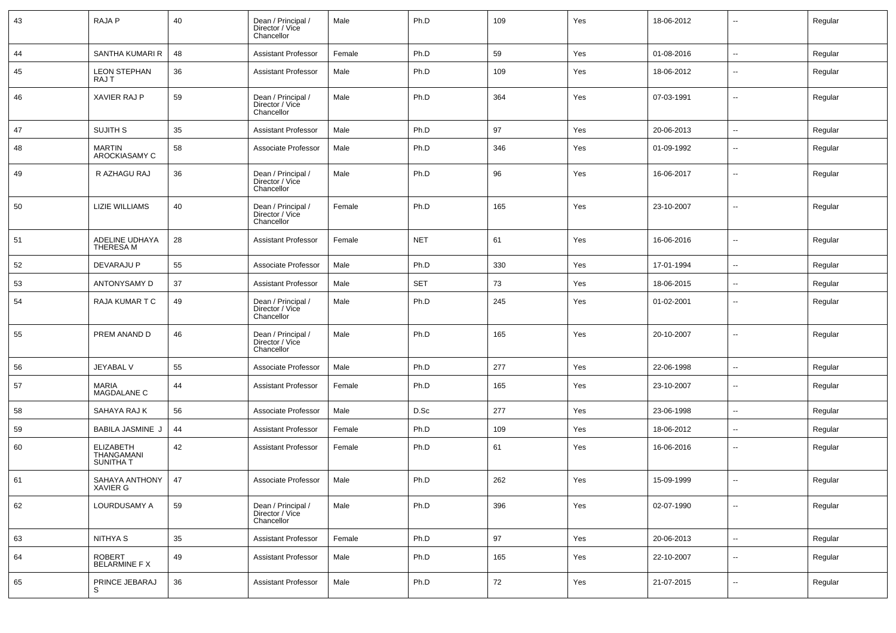| 43 | <b>RAJAP</b>                                       | 40 | Dean / Principal /<br>Director / Vice<br>Chancellor | Male   | Ph.D       | 109 | Yes | 18-06-2012 | $\overline{\phantom{a}}$ | Regular |
|----|----------------------------------------------------|----|-----------------------------------------------------|--------|------------|-----|-----|------------|--------------------------|---------|
| 44 | SANTHA KUMARI R                                    | 48 | <b>Assistant Professor</b>                          | Female | Ph.D       | 59  | Yes | 01-08-2016 | $\sim$                   | Regular |
| 45 | <b>LEON STEPHAN</b><br>RAJ T                       | 36 | <b>Assistant Professor</b>                          | Male   | Ph.D       | 109 | Yes | 18-06-2012 | $\sim$                   | Regular |
| 46 | XAVIER RAJ P                                       | 59 | Dean / Principal /<br>Director / Vice<br>Chancellor | Male   | Ph.D       | 364 | Yes | 07-03-1991 | $\overline{\phantom{a}}$ | Regular |
| 47 | SUJITH S                                           | 35 | <b>Assistant Professor</b>                          | Male   | Ph.D       | 97  | Yes | 20-06-2013 | $\overline{\phantom{a}}$ | Regular |
| 48 | <b>MARTIN</b><br>AROCKIASAMY C                     | 58 | Associate Professor                                 | Male   | Ph.D       | 346 | Yes | 01-09-1992 | $\overline{\phantom{a}}$ | Regular |
| 49 | R AZHAGU RAJ                                       | 36 | Dean / Principal /<br>Director / Vice<br>Chancellor | Male   | Ph.D       | 96  | Yes | 16-06-2017 | $\sim$                   | Regular |
| 50 | <b>LIZIE WILLIAMS</b>                              | 40 | Dean / Principal /<br>Director / Vice<br>Chancellor | Female | Ph.D       | 165 | Yes | 23-10-2007 | $\overline{a}$           | Regular |
| 51 | ADELINE UDHAYA<br>THERESA M                        | 28 | <b>Assistant Professor</b>                          | Female | <b>NET</b> | 61  | Yes | 16-06-2016 | $\sim$                   | Regular |
| 52 | DEVARAJU P                                         | 55 | Associate Professor                                 | Male   | Ph.D       | 330 | Yes | 17-01-1994 | $\overline{\phantom{a}}$ | Regular |
| 53 | ANTONYSAMY D                                       | 37 | <b>Assistant Professor</b>                          | Male   | <b>SET</b> | 73  | Yes | 18-06-2015 | $\overline{\phantom{a}}$ | Regular |
| 54 | <b>RAJA KUMAR T C</b>                              | 49 | Dean / Principal /<br>Director / Vice<br>Chancellor | Male   | Ph.D       | 245 | Yes | 01-02-2001 | $\overline{\phantom{a}}$ | Regular |
| 55 | PREM ANAND D                                       | 46 | Dean / Principal /<br>Director / Vice<br>Chancellor | Male   | Ph.D       | 165 | Yes | 20-10-2007 | $\overline{\phantom{a}}$ | Regular |
| 56 | JEYABAL V                                          | 55 | Associate Professor                                 | Male   | Ph.D       | 277 | Yes | 22-06-1998 | $\overline{\phantom{a}}$ | Regular |
| 57 | <b>MARIA</b><br>MAGDALANE C                        | 44 | <b>Assistant Professor</b>                          | Female | Ph.D       | 165 | Yes | 23-10-2007 | $\sim$                   | Regular |
| 58 | SAHAYA RAJ K                                       | 56 | Associate Professor                                 | Male   | D.Sc       | 277 | Yes | 23-06-1998 | $\sim$                   | Regular |
| 59 | <b>BABILA JASMINE J</b>                            | 44 | <b>Assistant Professor</b>                          | Female | Ph.D       | 109 | Yes | 18-06-2012 | $\sim$                   | Regular |
| 60 | <b>ELIZABETH</b><br>THANGAMANI<br><b>SUNITHA T</b> | 42 | <b>Assistant Professor</b>                          | Female | Ph.D       | 61  | Yes | 16-06-2016 | $\overline{\phantom{a}}$ | Regular |
| 61 | SAHAYA ANTHONY<br>XAVIER G                         | 47 | Associate Professor                                 | Male   | Ph.D       | 262 | Yes | 15-09-1999 | $\overline{\phantom{a}}$ | Regular |
| 62 | LOURDUSAMY A                                       | 59 | Dean / Principal /<br>Director / Vice<br>Chancellor | Male   | Ph.D       | 396 | Yes | 02-07-1990 | $\sim$                   | Regular |
| 63 | NITHYA S                                           | 35 | <b>Assistant Professor</b>                          | Female | Ph.D       | 97  | Yes | 20-06-2013 | $\sim$                   | Regular |
| 64 | ROBERT<br>BELARMINE F X                            | 49 | <b>Assistant Professor</b>                          | Male   | Ph.D       | 165 | Yes | 22-10-2007 | Щ,                       | Regular |
| 65 | PRINCE JEBARAJ<br>S                                | 36 | <b>Assistant Professor</b>                          | Male   | Ph.D       | 72  | Yes | 21-07-2015 | $\sim$                   | Regular |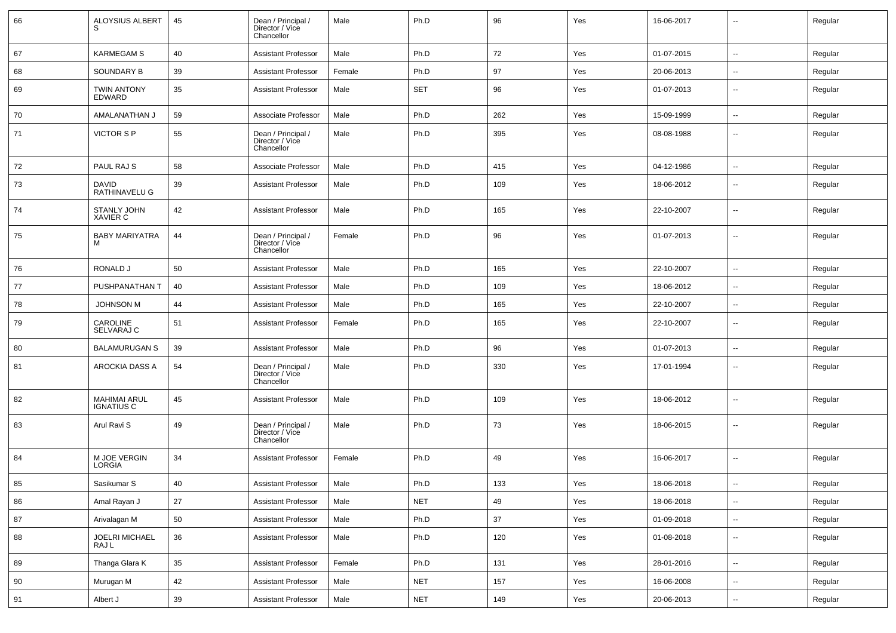| 66 | ALOYSIUS ALBERT<br>S.                    | 45     | Dean / Principal /<br>Director / Vice<br>Chancellor | Male   | Ph.D       | 96  | Yes | 16-06-2017 | $\overline{a}$           | Regular |
|----|------------------------------------------|--------|-----------------------------------------------------|--------|------------|-----|-----|------------|--------------------------|---------|
| 67 | <b>KARMEGAM S</b>                        | 40     | <b>Assistant Professor</b>                          | Male   | Ph.D       | 72  | Yes | 01-07-2015 | $\sim$                   | Regular |
| 68 | SOUNDARY B                               | 39     | Assistant Professor                                 | Female | Ph.D       | 97  | Yes | 20-06-2013 | $\overline{\phantom{a}}$ | Regular |
| 69 | <b>TWIN ANTONY</b><br>EDWARD             | 35     | <b>Assistant Professor</b>                          | Male   | <b>SET</b> | 96  | Yes | 01-07-2013 | --                       | Regular |
| 70 | AMALANATHAN J                            | 59     | Associate Professor                                 | Male   | Ph.D       | 262 | Yes | 15-09-1999 | --                       | Regular |
| 71 | VICTOR S P                               | 55     | Dean / Principal /<br>Director / Vice<br>Chancellor | Male   | Ph.D       | 395 | Yes | 08-08-1988 | --                       | Regular |
| 72 | PAUL RAJ S                               | 58     | Associate Professor                                 | Male   | Ph.D       | 415 | Yes | 04-12-1986 | --                       | Regular |
| 73 | <b>DAVID</b><br>RATHINAVELU G            | 39     | <b>Assistant Professor</b>                          | Male   | Ph.D       | 109 | Yes | 18-06-2012 | --                       | Regular |
| 74 | <b>STANLY JOHN</b><br><b>XAVIER C</b>    | 42     | <b>Assistant Professor</b>                          | Male   | Ph.D       | 165 | Yes | 22-10-2007 | $\overline{\phantom{a}}$ | Regular |
| 75 | <b>BABY MARIYATRA</b><br>M               | 44     | Dean / Principal /<br>Director / Vice<br>Chancellor | Female | Ph.D       | 96  | Yes | 01-07-2013 | --                       | Regular |
| 76 | RONALD J                                 | 50     | <b>Assistant Professor</b>                          | Male   | Ph.D       | 165 | Yes | 22-10-2007 | --                       | Regular |
| 77 | PUSHPANATHAN T                           | 40     | <b>Assistant Professor</b>                          | Male   | Ph.D       | 109 | Yes | 18-06-2012 | --                       | Regular |
| 78 | <b>JOHNSON M</b>                         | 44     | <b>Assistant Professor</b>                          | Male   | Ph.D       | 165 | Yes | 22-10-2007 | $\overline{a}$           | Regular |
| 79 | CAROLINE<br>SELVARAJ C                   | 51     | <b>Assistant Professor</b>                          | Female | Ph.D       | 165 | Yes | 22-10-2007 |                          | Regular |
| 80 | <b>BALAMURUGAN S</b>                     | 39     | <b>Assistant Professor</b>                          | Male   | Ph.D       | 96  | Yes | 01-07-2013 | $\sim$                   | Regular |
| 81 | AROCKIA DASS A                           | 54     | Dean / Principal /<br>Director / Vice<br>Chancellor | Male   | Ph.D       | 330 | Yes | 17-01-1994 | $\sim$                   | Regular |
| 82 | <b>MAHIMAI ARUL</b><br><b>IGNATIUS C</b> | 45     | <b>Assistant Professor</b>                          | Male   | Ph.D       | 109 | Yes | 18-06-2012 | --                       | Regular |
| 83 | Arul Ravi S                              | 49     | Dean / Principal /<br>Director / Vice<br>Chancellor | Male   | Ph.D       | 73  | Yes | 18-06-2015 |                          | Regular |
| 84 | M JOE VERGIN<br>LORGIA                   | 34     | <b>Assistant Professor</b>                          | Female | Ph.D       | 49  | Yes | 16-06-2017 | $\overline{a}$           | Regular |
| 85 | Sasikumar S                              | 40     | <b>Assistant Professor</b>                          | Male   | Ph.D       | 133 | Yes | 18-06-2018 | $\overline{\phantom{a}}$ | Regular |
| 86 | Amal Rayan J                             | 27     | <b>Assistant Professor</b>                          | Male   | <b>NET</b> | 49  | Yes | 18-06-2018 | $\overline{\phantom{a}}$ | Regular |
| 87 | Arivalagan M                             | 50     | <b>Assistant Professor</b>                          | Male   | Ph.D       | 37  | Yes | 01-09-2018 | $\sim$                   | Regular |
| 88 | JOELRI MICHAEL<br>RAJ L                  | 36     | <b>Assistant Professor</b>                          | Male   | Ph.D       | 120 | Yes | 01-08-2018 | $\sim$                   | Regular |
| 89 | Thanga Glara K                           | 35     | <b>Assistant Professor</b>                          | Female | Ph.D       | 131 | Yes | 28-01-2016 | $\sim$                   | Regular |
| 90 | Murugan M                                | 42     | <b>Assistant Professor</b>                          | Male   | <b>NET</b> | 157 | Yes | 16-06-2008 | --                       | Regular |
| 91 | Albert J                                 | $39\,$ | <b>Assistant Professor</b>                          | Male   | <b>NET</b> | 149 | Yes | 20-06-2013 | $\overline{\phantom{a}}$ | Regular |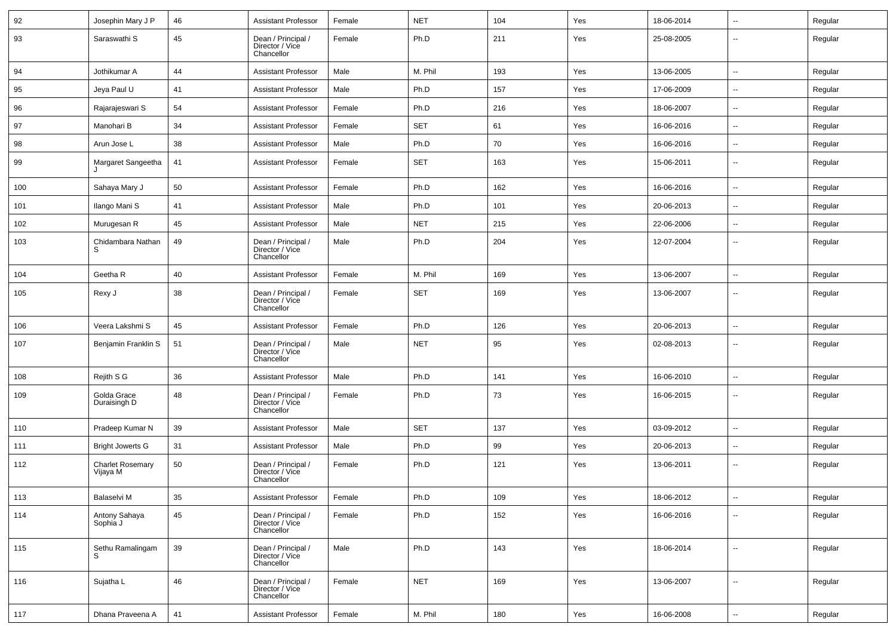| 92  | Josephin Mary J P                   | 46 | <b>Assistant Professor</b>                          | Female | <b>NET</b> | 104 | Yes | 18-06-2014 | $\sim$                   | Regular |
|-----|-------------------------------------|----|-----------------------------------------------------|--------|------------|-----|-----|------------|--------------------------|---------|
| 93  | Saraswathi S                        | 45 | Dean / Principal /<br>Director / Vice<br>Chancellor | Female | Ph.D       | 211 | Yes | 25-08-2005 | --                       | Regular |
| 94  | Jothikumar A                        | 44 | <b>Assistant Professor</b>                          | Male   | M. Phil    | 193 | Yes | 13-06-2005 | $\sim$                   | Regular |
| 95  | Jeya Paul U                         | 41 | <b>Assistant Professor</b>                          | Male   | Ph.D       | 157 | Yes | 17-06-2009 | н.                       | Regular |
| 96  | Rajarajeswari S                     | 54 | <b>Assistant Professor</b>                          | Female | Ph.D       | 216 | Yes | 18-06-2007 | ⊷.                       | Regular |
| 97  | Manohari B                          | 34 | <b>Assistant Professor</b>                          | Female | SET        | 61  | Yes | 16-06-2016 | --                       | Regular |
| 98  | Arun Jose L                         | 38 | <b>Assistant Professor</b>                          | Male   | Ph.D       | 70  | Yes | 16-06-2016 | Ξ.                       | Regular |
| 99  | Margaret Sangeetha                  | 41 | <b>Assistant Professor</b>                          | Female | SET        | 163 | Yes | 15-06-2011 | $\sim$                   | Regular |
| 100 | Sahaya Mary J                       | 50 | <b>Assistant Professor</b>                          | Female | Ph.D       | 162 | Yes | 16-06-2016 | ⊷.                       | Regular |
| 101 | Ilango Mani S                       | 41 | <b>Assistant Professor</b>                          | Male   | Ph.D       | 101 | Yes | 20-06-2013 | ⊷.                       | Regular |
| 102 | Murugesan R                         | 45 | <b>Assistant Professor</b>                          | Male   | <b>NET</b> | 215 | Yes | 22-06-2006 | −−                       | Regular |
| 103 | Chidambara Nathan                   | 49 | Dean / Principal /<br>Director / Vice<br>Chancellor | Male   | Ph.D       | 204 | Yes | 12-07-2004 | $\overline{\phantom{a}}$ | Regular |
| 104 | Geetha R                            | 40 | <b>Assistant Professor</b>                          | Female | M. Phil    | 169 | Yes | 13-06-2007 | −−                       | Regular |
| 105 | Rexy J                              | 38 | Dean / Principal /<br>Director / Vice<br>Chancellor | Female | SET        | 169 | Yes | 13-06-2007 | --                       | Regular |
| 106 | Veera Lakshmi S                     | 45 | <b>Assistant Professor</b>                          | Female | Ph.D       | 126 | Yes | 20-06-2013 | $\sim$                   | Regular |
| 107 | Benjamin Franklin S                 | 51 | Dean / Principal /<br>Director / Vice<br>Chancellor | Male   | <b>NET</b> | 95  | Yes | 02-08-2013 | $\overline{\phantom{a}}$ | Regular |
| 108 | Rejith S G                          | 36 | <b>Assistant Professor</b>                          | Male   | Ph.D       | 141 | Yes | 16-06-2010 | н.                       | Regular |
| 109 | Golda Grace<br>Duraisingh D         | 48 | Dean / Principal /<br>Director / Vice<br>Chancellor | Female | Ph.D       | 73  | Yes | 16-06-2015 | $\overline{\phantom{a}}$ | Regular |
| 110 | Pradeep Kumar N                     | 39 | <b>Assistant Professor</b>                          | Male   | <b>SET</b> | 137 | Yes | 03-09-2012 | --                       | Regular |
| 111 | <b>Bright Jowerts G</b>             | 31 | <b>Assistant Professor</b>                          | Male   | Ph.D       | 99  | Yes | 20-06-2013 | ⊷.                       | Regular |
| 112 | <b>Charlet Rosemary</b><br>Vijaya M | 50 | Dean / Principal /<br>Director / Vice<br>Chancellor | Female | Ph.D       | 121 | Yes | 13-06-2011 | --                       | Regular |
| 113 | Balaselvi M                         | 35 | <b>Assistant Professor</b>                          | Female | Ph.D       | 109 | Yes | 18-06-2012 | $\overline{\phantom{a}}$ | Regular |
| 114 | Antony Sahaya<br>Sophia J           | 45 | Dean / Principal /<br>Director / Vice<br>Chancellor | Female | Ph.D       | 152 | Yes | 16-06-2016 | -−                       | Regular |
| 115 | Sethu Ramalingam                    | 39 | Dean / Principal /<br>Director / Vice<br>Chancellor | Male   | Ph.D       | 143 | Yes | 18-06-2014 | Ξ.                       | Regular |
| 116 | Sujatha L                           | 46 | Dean / Principal /<br>Director / Vice<br>Chancellor | Female | <b>NET</b> | 169 | Yes | 13-06-2007 | −−                       | Regular |
| 117 | Dhana Praveena A                    | 41 | <b>Assistant Professor</b>                          | Female | M. Phil    | 180 | Yes | 16-06-2008 | ш.                       | Regular |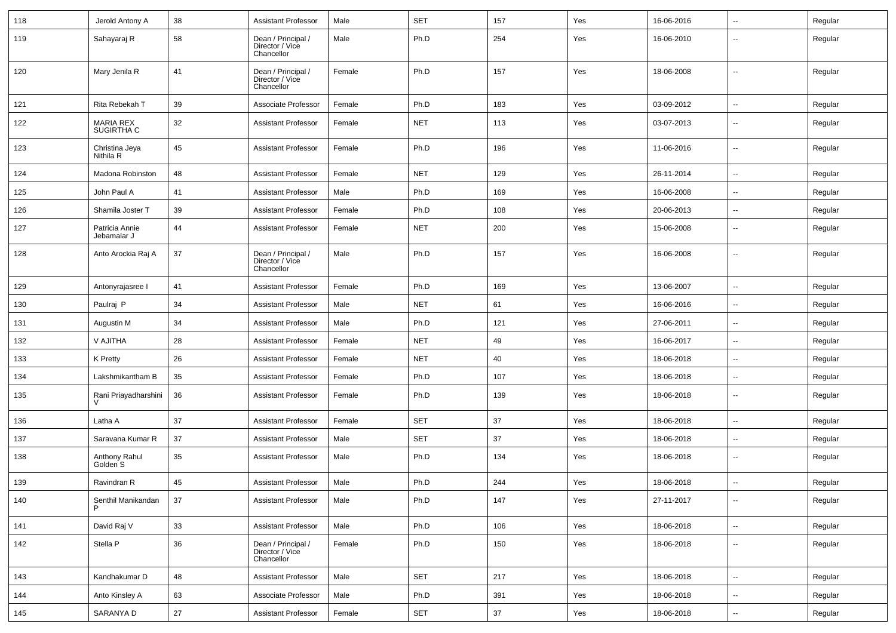| 118 | Jerold Antony A                      | 38 | <b>Assistant Professor</b>                          | Male   | <b>SET</b> | 157 | Yes | 16-06-2016 | --                       | Regular |
|-----|--------------------------------------|----|-----------------------------------------------------|--------|------------|-----|-----|------------|--------------------------|---------|
| 119 | Sahayaraj R                          | 58 | Dean / Principal /<br>Director / Vice<br>Chancellor | Male   | Ph.D       | 254 | Yes | 16-06-2010 | --                       | Regular |
| 120 | Mary Jenila R                        | 41 | Dean / Principal /<br>Director / Vice<br>Chancellor | Female | Ph.D       | 157 | Yes | 18-06-2008 | --                       | Regular |
| 121 | Rita Rebekah T                       | 39 | Associate Professor                                 | Female | Ph.D       | 183 | Yes | 03-09-2012 | ⊷.                       | Regular |
| 122 | <b>MARIA REX</b><br>SUGIRTHA C       | 32 | <b>Assistant Professor</b>                          | Female | <b>NET</b> | 113 | Yes | 03-07-2013 | --                       | Regular |
| 123 | Christina Jeya<br>Nithila R          | 45 | <b>Assistant Professor</b>                          | Female | Ph.D       | 196 | Yes | 11-06-2016 | $\overline{\phantom{a}}$ | Regular |
| 124 | Madona Robinston                     | 48 | <b>Assistant Professor</b>                          | Female | <b>NET</b> | 129 | Yes | 26-11-2014 | $\overline{\phantom{a}}$ | Regular |
| 125 | John Paul A                          | 41 | <b>Assistant Professor</b>                          | Male   | Ph.D       | 169 | Yes | 16-06-2008 | -−                       | Regular |
| 126 | Shamila Joster T                     | 39 | <b>Assistant Professor</b>                          | Female | Ph.D       | 108 | Yes | 20-06-2013 | -−                       | Regular |
| 127 | Patricia Annie<br>Jebamalar J        | 44 | <b>Assistant Professor</b>                          | Female | <b>NET</b> | 200 | Yes | 15-06-2008 | --                       | Regular |
| 128 | Anto Arockia Raj A                   | 37 | Dean / Principal /<br>Director / Vice<br>Chancellor | Male   | Ph.D       | 157 | Yes | 16-06-2008 | --                       | Regular |
| 129 | Antonyrajasree I                     | 41 | <b>Assistant Professor</b>                          | Female | Ph.D       | 169 | Yes | 13-06-2007 | --                       | Regular |
| 130 | Paulraj P                            | 34 | <b>Assistant Professor</b>                          | Male   | <b>NET</b> | 61  | Yes | 16-06-2016 | --                       | Regular |
| 131 | Augustin M                           | 34 | <b>Assistant Professor</b>                          | Male   | Ph.D       | 121 | Yes | 27-06-2011 | $\overline{\phantom{a}}$ | Regular |
| 132 | V AJITHA                             | 28 | <b>Assistant Professor</b>                          | Female | <b>NET</b> | 49  | Yes | 16-06-2017 | --                       | Regular |
| 133 | K Pretty                             | 26 | <b>Assistant Professor</b>                          | Female | <b>NET</b> | 40  | Yes | 18-06-2018 | ⊷.                       | Regular |
| 134 | Lakshmikantham B                     | 35 | <b>Assistant Professor</b>                          | Female | Ph.D       | 107 | Yes | 18-06-2018 | -−                       | Regular |
| 135 | Rani Priayadharshini<br>V            | 36 | <b>Assistant Professor</b>                          | Female | Ph.D       | 139 | Yes | 18-06-2018 | $\overline{\phantom{a}}$ | Regular |
| 136 | Latha A                              | 37 | <b>Assistant Professor</b>                          | Female | <b>SET</b> | 37  | Yes | 18-06-2018 | --                       | Regular |
| 137 | Saravana Kumar R                     | 37 | <b>Assistant Professor</b>                          | Male   | <b>SET</b> | 37  | Yes | 18-06-2018 | --                       | Regular |
| 138 | Anthony Rahul<br>Golden <sup>S</sup> | 35 | <b>Assistant Professor</b>                          | Male   | Ph.D       | 134 | Yes | 18-06-2018 | $\overline{\phantom{a}}$ | Regular |
| 139 | Ravindran R                          | 45 | <b>Assistant Professor</b>                          | Male   | Ph.D       | 244 | Yes | 18-06-2018 | $\overline{\phantom{a}}$ | Regular |
| 140 | Senthil Manikandan                   | 37 | <b>Assistant Professor</b>                          | Male   | Ph.D       | 147 | Yes | 27-11-2017 | $\sim$                   | Regular |
| 141 | David Raj V                          | 33 | <b>Assistant Professor</b>                          | Male   | Ph.D       | 106 | Yes | 18-06-2018 | $\sim$                   | Regular |
| 142 | Stella P                             | 36 | Dean / Principal /<br>Director / Vice<br>Chancellor | Female | Ph.D       | 150 | Yes | 18-06-2018 | н.                       | Regular |
| 143 | Kandhakumar D                        | 48 | <b>Assistant Professor</b>                          | Male   | <b>SET</b> | 217 | Yes | 18-06-2018 | $\overline{\phantom{a}}$ | Regular |
| 144 | Anto Kinsley A                       | 63 | Associate Professor                                 | Male   | Ph.D       | 391 | Yes | 18-06-2018 | н.                       | Regular |
| 145 | SARANYA D                            | 27 | <b>Assistant Professor</b>                          | Female | <b>SET</b> | 37  | Yes | 18-06-2018 | $\sim$                   | Regular |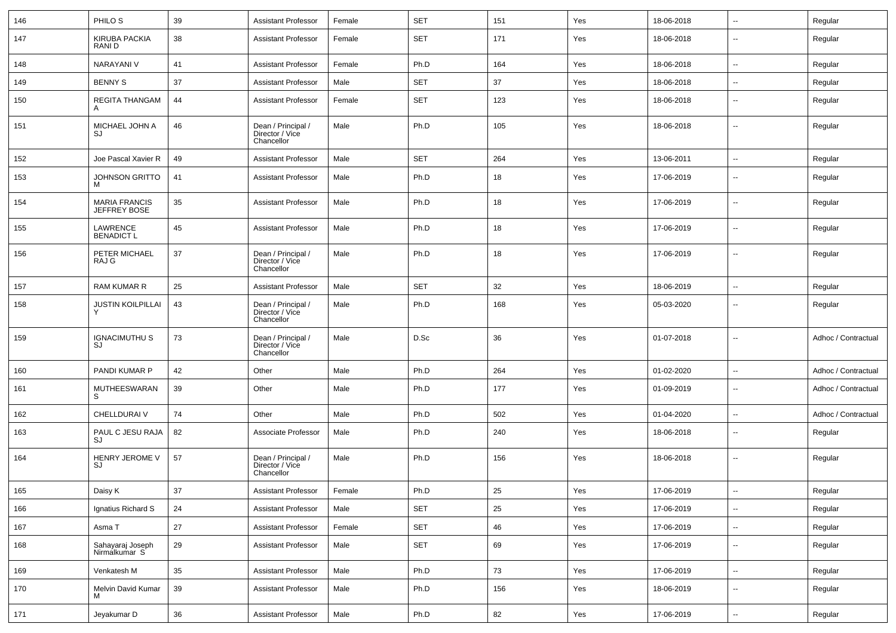| 146 | PHILO <sub>S</sub>                   | 39 | <b>Assistant Professor</b>                          | Female | <b>SET</b> | 151 | Yes | 18-06-2018 | $\sim$                   | Regular             |
|-----|--------------------------------------|----|-----------------------------------------------------|--------|------------|-----|-----|------------|--------------------------|---------------------|
| 147 | <b>KIRUBA PACKIA</b><br>RANI D       | 38 | Assistant Professor                                 | Female | <b>SET</b> | 171 | Yes | 18-06-2018 | $\mathbf{u}$             | Regular             |
| 148 | <b>NARAYANI V</b>                    | 41 | <b>Assistant Professor</b>                          | Female | Ph.D       | 164 | Yes | 18-06-2018 | $\mathbf{u}$             | Regular             |
| 149 | <b>BENNY S</b>                       | 37 | Assistant Professor                                 | Male   | <b>SET</b> | 37  | Yes | 18-06-2018 | $\overline{\phantom{a}}$ | Regular             |
| 150 | <b>REGITA THANGAM</b><br>A           | 44 | <b>Assistant Professor</b>                          | Female | <b>SET</b> | 123 | Yes | 18-06-2018 | $\overline{\phantom{a}}$ | Regular             |
| 151 | MICHAEL JOHN A<br>SJ                 | 46 | Dean / Principal /<br>Director / Vice<br>Chancellor | Male   | Ph.D       | 105 | Yes | 18-06-2018 | $\overline{\phantom{a}}$ | Regular             |
| 152 | Joe Pascal Xavier R                  | 49 | <b>Assistant Professor</b>                          | Male   | <b>SET</b> | 264 | Yes | 13-06-2011 | $\mathbf{u}$             | Regular             |
| 153 | JOHNSON GRITTO<br>M                  | 41 | <b>Assistant Professor</b>                          | Male   | Ph.D       | 18  | Yes | 17-06-2019 | $\overline{\phantom{a}}$ | Regular             |
| 154 | <b>MARIA FRANCIS</b><br>JEFFREY BOSE | 35 | <b>Assistant Professor</b>                          | Male   | Ph.D       | 18  | Yes | 17-06-2019 | $\overline{\phantom{a}}$ | Regular             |
| 155 | LAWRENCE<br><b>BENADICT L</b>        | 45 | <b>Assistant Professor</b>                          | Male   | Ph.D       | 18  | Yes | 17-06-2019 | --                       | Regular             |
| 156 | PETER MICHAEL<br>RAJ G               | 37 | Dean / Principal /<br>Director / Vice<br>Chancellor | Male   | Ph.D       | 18  | Yes | 17-06-2019 | --                       | Regular             |
| 157 | RAM KUMAR R                          | 25 | <b>Assistant Professor</b>                          | Male   | <b>SET</b> | 32  | Yes | 18-06-2019 | $\mathbf{u}$             | Regular             |
| 158 | <b>JUSTIN KOILPILLAI</b>             | 43 | Dean / Principal /<br>Director / Vice<br>Chancellor | Male   | Ph.D       | 168 | Yes | 05-03-2020 | --                       | Regular             |
| 159 | <b>IGNACIMUTHU S</b><br>SJ           | 73 | Dean / Principal /<br>Director / Vice<br>Chancellor | Male   | D.Sc       | 36  | Yes | 01-07-2018 | --                       | Adhoc / Contractual |
| 160 | PANDI KUMAR P                        | 42 | Other                                               | Male   | Ph.D       | 264 | Yes | 01-02-2020 | $\mathbf{u}$             | Adhoc / Contractual |
| 161 | MUTHEESWARAN<br>S.                   | 39 | Other                                               | Male   | Ph.D       | 177 | Yes | 01-09-2019 | $\overline{\phantom{a}}$ | Adhoc / Contractual |
| 162 | CHELLDURAI V                         | 74 | Other                                               | Male   | Ph.D       | 502 | Yes | 01-04-2020 | $\overline{\phantom{a}}$ | Adhoc / Contractual |
| 163 | PAUL C JESU RAJA<br>SJ               | 82 | Associate Professor                                 | Male   | Ph.D       | 240 | Yes | 18-06-2018 | $\overline{\phantom{a}}$ | Regular             |
| 164 | HENRY JEROME V<br>SJ                 | 57 | Dean / Principal /<br>Director / Vice<br>Chancellor | Male   | Ph.D       | 156 | Yes | 18-06-2018 | --                       | Regular             |
| 165 | Daisy K                              | 37 | <b>Assistant Professor</b>                          | Female | Ph.D       | 25  | Yes | 17-06-2019 | $\sim$                   | Regular             |
| 166 | Ignatius Richard S                   | 24 | <b>Assistant Professor</b>                          | Male   | SET        | 25  | Yes | 17-06-2019 | $\sim$                   | Regular             |
| 167 | Asma T                               | 27 | <b>Assistant Professor</b>                          | Female | SET        | 46  | Yes | 17-06-2019 | $\sim$                   | Regular             |
| 168 | Sahayaraj Joseph<br>Nirmalkumar S    | 29 | <b>Assistant Professor</b>                          | Male   | SET        | 69  | Yes | 17-06-2019 | $\sim$                   | Regular             |
| 169 | Venkatesh M                          | 35 | Assistant Professor                                 | Male   | Ph.D       | 73  | Yes | 17-06-2019 | $\sim$                   | Regular             |
| 170 | Melvin David Kumar                   | 39 | <b>Assistant Professor</b>                          | Male   | Ph.D       | 156 | Yes | 18-06-2019 | $\sim$                   | Regular             |
| 171 | Jeyakumar D                          | 36 | Assistant Professor                                 | Male   | Ph.D       | 82  | Yes | 17-06-2019 | $\sim$                   | Regular             |